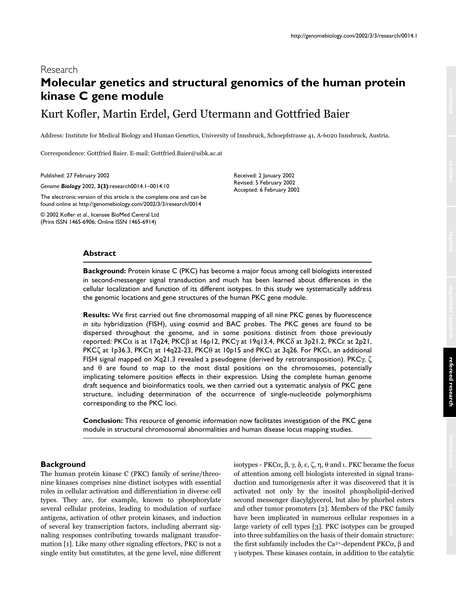# Research **Molecular genetics and structural genomics of the human protein kinase C gene module**

Kurt Kofler, Martin Erdel, Gerd Utermann and Gottfried Baier

Address: Institute for Medical Biology and Human Genetics, University of Innsbruck, Schoepfstrasse 41, A-6020 Innsbruck, Austria.

 $\rm Correspondence: Gottfried Baire. E-mail: Gottfried Baire@uibk.ac.at$ 

Published: 27 February 2002

*Genome Biology* 2002, **3(3)**:research0014.1–0014.10

The electronic version of this article is the complete one and can be found online at http://genomebiology.com/2002/3/3/research/0014

© 2002 Kofler *et al*., licensee BioMed Central Ltd (Print ISSN 1465-6906; Online ISSN 1465-6914)

Received: 2 January 2002 Revised: 5 February 2002 Accepted: 6 February 2002

#### **Abstract**

**Background:** Protein kinase C (PKC) has become a major focus among cell biologists interested in second-messenger signal transduction and much has been learned about differences in the cellular localization and function of its different isotypes. In this study we systematically address the genomic locations and gene structures of the human PKC gene module.

**Results:** We first carried out fine chromosomal mapping of all nine PKC genes by fluorescence *in situ* hybridization (FISH), using cosmid and BAC probes. The PKC genes are found to be dispersed throughout the genome, and in some positions distinct from those previously reported: PKCα is at 17q24, PKCβ at 16p12, PKCγ at 19q13.4, PKCδ at 3p21.2, PKCε at 2p21, PKCζ at 1p36.3, PKCη at 14q22-23, PKCθ at 10p15 and PKCι at 3q26. For PKCι, an additional FISH signal mapped on Xq21.3 revealed a pseudogene (derived by retrotransposition). PKCγ, ζ and  $\theta$  are found to map to the most distal positions on the chromosomes, potentially implicating telomere position effects in their expression. Using the complete human genome draft sequence and bioinformatics tools, we then carried out a systematic analysis of PKC gene structure, including determination of the occurrence of single-nucleotide polymorphisms corresponding to the PKC loci.

**Conclusion:** This resource of genomic information now facilitates investigation of the PKC gene module in structural chromosomal abnormalities and human disease locus mapping studies.

# **Background**

The human protein kinase C (PKC) family of serine/threonine kinases comprises nine distinct isotypes with essential roles in cellular activation and differentiation in diverse cell types. They are, for example, known to phosphorylate several cellular proteins, leading to modulation of surface antigens, activation of other protein kinases, and induction of several key transcription factors, including aberrant signaling responses contributing towards malignant transformation [1]. Like many other signaling effectors, PKC is not a single entity but constitutes, at the gene level, nine different

isotypes - PKCα, β, γ, δ, ε, ζ, η, θ and ι. PKC became the focus of attention among cell biologists interested in signal transduction and tumorigenesis after it was discovered that it is activated not only by the inositol phospholipid-derived second messenger diacylglycerol, but also by phorbol esters and other tumor promoters [2]. Members of the PKC family have been implicated in numerous cellular responses in a large variety of cell types [3]. PKC isotypes can be grouped into three subfamilies on the basis of their domain structure: the first subfamily includes the Ca<sup>2+</sup>-dependent PKCα, β and  $\gamma$  isotypes. These kinases contain, in addition to the catalytic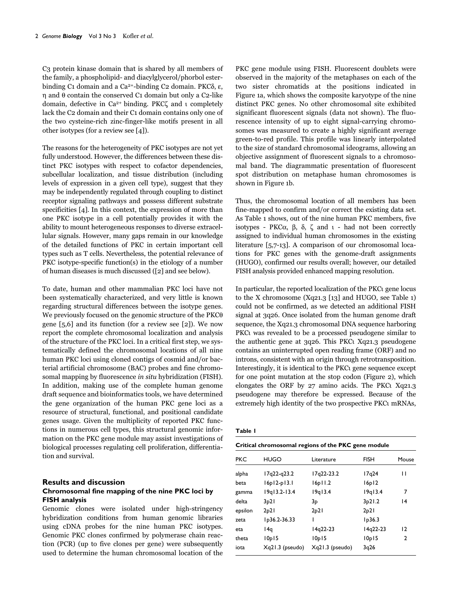C<sub>3</sub> protein kinase domain that is shared by all members of the family, a phospholipid- and diacylglycerol/phorbol esterbinding C1 domain and a Ca<sup>2+</sup>-binding C2 domain. PKC $\delta$ ,  $\varepsilon$ ,  $\eta$  and  $\theta$  contain the conserved C<sub>1</sub> domain but only a C<sub>2</sub>-like domain, defective in  $Ca^{2+}$  binding. PKC $\zeta$  and  $\iota$  completely lack the C<sub>2</sub> domain and their C<sub>1</sub> domain contains only one of the two cysteine-rich zinc-finger-like motifs present in all other isotypes (for a review see [4]).

The reasons for the heterogeneity of PKC isotypes are not yet fully understood. However, the differences between these distinct PKC isotypes with respect to cofactor dependencies, subcellular localization, and tissue distribution (including levels of expression in a given cell type), suggest that they may be independently regulated through coupling to distinct receptor signaling pathways and possess different substrate specificities  $[4]$ . In this context, the expression of more than one PKC isotype in a cell potentially provides it with the ability to mount heterogeneous responses to diverse extracellular signals. However, many gaps remain in our knowledge of the detailed functions of PKC in certain important cell types such as T cells. Nevertheless, the potential relevance of PKC isotype-specific function(s) in the etiology of a number of human diseases is much discussed ([2] and see below).

To date, human and other mammalian PKC loci have not been systematically characterized, and very little is known regarding structural differences between the isotype genes. We previously focused on the genomic structure of the PKC $\theta$ gene [5,6] and its function (for a review see [2]). We now report the complete chromosomal localization and analysis of the structure of the PKC loci. In a critical first step, we systematically defined the chromosomal locations of all nine human PKC loci using cloned contigs of cosmid and/or bacterial artificial chromosome (BAC) probes and fine chromosomal mapping by fluorescence in situ hybridization (FISH). In addition, making use of the complete human genome draft sequence and bioinformatics tools, we have determined the gene organization of the human PKC gene loci as a resource of structural, functional, and positional candidate genes usage. Given the multiplicity of reported PKC functions in numerous cell types, this structural genomic information on the PKC gene module may assist investigations of biological processes regulating cell proliferation, differentiation and survival.

# **Results and discussion**

# Chromosomal fine mapping of the nine PKC loci by **FISH** analysis

Genomic clones were isolated under high-stringency hybridization conditions from human genomic libraries using cDNA probes for the nine human PKC isotypes. Genomic PKC clones confirmed by polymerase chain reaction (PCR) (up to five clones per gene) were subsequently used to determine the human chromosomal location of the PKC gene module using FISH. Fluorescent doublets were observed in the majority of the metaphases on each of the two sister chromatids at the positions indicated in Figure 1a, which shows the composite karyotype of the nine distinct PKC genes. No other chromosomal site exhibited significant fluorescent signals (data not shown). The fluorescence intensity of up to eight signal-carrying chromosomes was measured to create a highly significant average green-to-red profile. This profile was linearly interpolated to the size of standard chromosomal ideograms, allowing an objective assignment of fluorescent signals to a chromosomal band. The diagrammatic presentation of fluorescent spot distribution on metaphase human chromosomes is shown in Figure 1b.

Thus, the chromosomal location of all members has been fine-mapped to confirm and/or correct the existing data set. As Table 1 shows, out of the nine human PKC members, five isotypes - PKC $\alpha$ ,  $\beta$ ,  $\delta$ ,  $\zeta$  and  $\iota$  - had not been correctly assigned to individual human chromosomes in the existing literature  $[5,7-13]$ . A comparison of our chromosomal locations for PKC genes with the genome-draft assignments (HUGO), confirmed our results overall; however, our detailed FISH analysis provided enhanced mapping resolution.

In particular, the reported localization of the PKCt gene locus to the X chromosome (Xq21.3 [13] and HUGO, see Table 1) could not be confirmed, as we detected an additional FISH signal at 3q26. Once isolated from the human genome draft sequence, the Xq21.3 chromosomal DNA sequence harboring PKCt was revealed to be a processed pseudogene similar to the authentic gene at 3q26. This PKCt Xq21.3 pseudogene contains an uninterrupted open reading frame (ORF) and no introns, consistent with an origin through retrotransposition. Interestingly, it is identical to the PKC gene sequence except for one point mutation at the stop codon (Figure 2), which elongates the ORF by 27 amino acids. The PKCt Xq21.3 pseudogene may therefore be expressed. Because of the extremely high identity of the two prospective PKCt mRNAs,

|--|--|

| Critical chromosomal regions of the PKC gene module |                 |                 |                    |       |  |
|-----------------------------------------------------|-----------------|-----------------|--------------------|-------|--|
| <b>PKC</b>                                          | HUGO            | Literature      | <b>FISH</b>        | Mouse |  |
| alpha                                               | $17q22-q23.2$   | I7q22-23.2      | 17 <sub>a</sub> 24 | П     |  |
| beta                                                | $16p12-p13.1$   | 16p11.2         | 16p12              |       |  |
| gamma                                               | $19q13.2-13.4$  | 19q13.4         | 19q13.4            | 7     |  |
| delta                                               | 3p21            | 3p              | 3p21.2             | 14    |  |
| epsilon                                             | 2p21            | 2p21            | 2p21               |       |  |
| zeta                                                | Ip36.2-36.33    | ı               | lp36.3             |       |  |
| eta                                                 | l4q             | $14q22-23$      | I4q22-23           | 12    |  |
| theta                                               | 10p15           | 10p15           | 10p15              | 2     |  |
| iota                                                | Xq21.3 (pseudo) | Xq21.3 (pseudo) | 3q26               |       |  |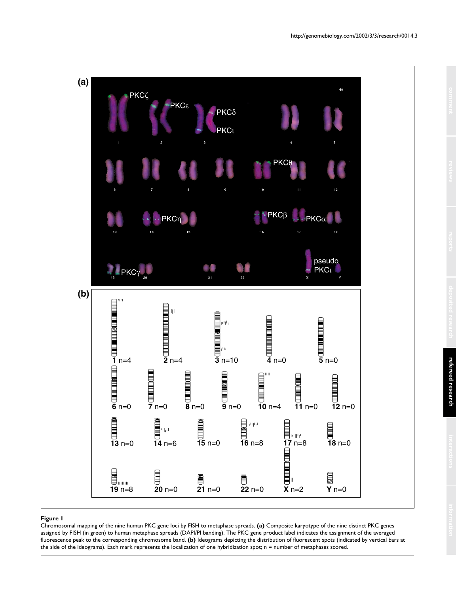

### **Figure 1**

Chromosomal mapping of the nine human PKC gene loci by FISH to metaphase spreads. **(a)** Composite karyotype of the nine distinct PKC genes assigned by FISH (in green) to human metaphase spreads (DAPI/PI banding). The PKC gene product label indicates the assignment of the averaged fluorescence peak to the corresponding chromosome band. **(b)** Ideograms depicting the distribution of fluorescent spots (indicated by vertical bars at the side of the ideograms). Each mark represents the localization of one hybridization spot; n = number of metaphases scored.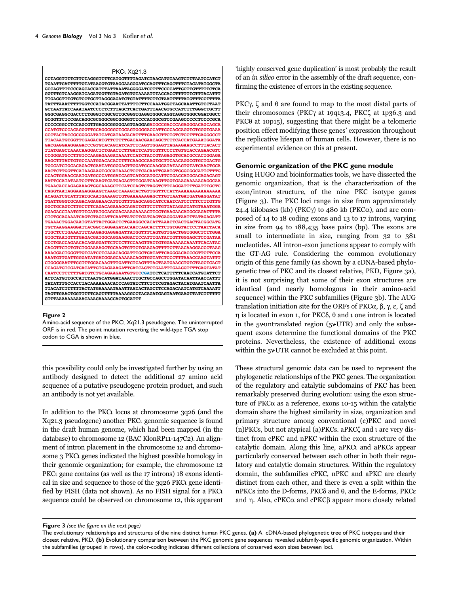

#### Figure 2

Amino-acid sequence of the PKC1 Xq21.3 pseudogene. The uninterrupted ORF is in red. The point mutation reverting the wild-type TGA stop codon to CGA is shown in blue.

this possibility could only be investigated further by using an antibody designed to detect the additional 27 amino acid sequence of a putative pseudogene protein product, and such an antibody is not yet available.

In addition to the PKCt locus at chromosome 3q26 (and the Xq21.3 pseudogene) another PKC genomic sequence is found in the draft human genome, which had been mapped (in the database) to chromosome 12 (BAC KlonRP11-147C2). An alignment of intron placement in the chromosome 12 and chromosome 3 PKCt genes indicated the highest possible homology in their genomic organization; for example, the chromosome 12 PKC<sub>l</sub> gene contains (as well as the 17 introns) 18 exons identical in size and sequence to those of the 3q26 PKC gene identified by FISH (data not shown). As no FISH signal for a PKC sequence could be observed on chromosome 12, this apparent highly conserved gene duplication' is most probably the result of an *in silico* error in the assembly of the draft sequence, confirming the existence of errors in the existing sequence.

PKC $\gamma$ ,  $\zeta$  and  $\theta$  are found to map to the most distal parts of their chromosomes (PKC $\gamma$  at 19913.4, PKC $\zeta$  at 1p36.3 and PKC $\theta$  at 10p15), suggesting that there might be a telomeric position effect modifying these genes' expression throughout the replicative lifespan of human cells. However, there is no experimental evidence on this at present.

#### Genomic organization of the PKC gene module

Using HUGO and bioinformatics tools, we have dissected the genomic organization, that is the characterization of the exon/intron structure, of the nine PKC isotype genes (Figure 3). The PKC loci range in size from approximately 24.4 kilobases (kb) (PKC $\gamma$ ) to 480 kb (PKC $\alpha$ ), and are composed of 14 to 18 coding exons and 13 to 17 introns, varying in size from  $94$  to  $188,435$  base pairs (bp). The exons are small to intermediate in size, ranging from 32 to 381 nucleotides. All intron-exon junctions appear to comply with the GT-AG rule. Considering the common evolutionary origin of this gene family (as shown by a cDNA-based phylogenetic tree of PKC and its closest relative, PKD, Figure 3a), it is not surprising that some of their exon structures are identical (and nearly homologous in their amino-acid sequence) within the PKC subfamilies (Figure 3b). The AUG translation initiation site for the ORFs of PKC $\alpha$ ,  $\beta$ ,  $\gamma$ ,  $\epsilon$ ,  $\zeta$  and  $\eta$  is located in exon 1, for PKC $\delta$ ,  $\theta$  and  $\iota$  one intron is located in the 5 vuntranslated region ( $5 \times UTR$ ) and only the subsequent exons determine the functional domains of the PKC proteins. Nevertheless, the existence of additional exons within the 5vUTR cannot be excluded at this point.

These structural genomic data can be used to represent the phylogenetic relationships of the PKC genes. The organization of the regulatory and catalytic subdomains of PKC has been remarkably preserved during evolution: using the exon structure of PKC $\alpha$  as a reference, exons 10-15 within the catalytic domain share the highest similarity in size, organization and primary structure among conventional (c)PKC and novel (n)PKCs, but not atypical (a)PKCs. aPKC $\zeta$  and t are very distinct from cPKC and nPKC within the exon structure of the catalytic domain. Along this line, aPKCt and aPKCs appear particularly conserved between each other in both their regulatory and catalytic domain structures. Within the regulatory domain, the subfamilies cPKC, nPKC and aPKC are clearly distinct from each other, and there is even a split within the nPKCs into the D-forms, PKCδ and θ, and the E-forms, PKCε and  $\eta$ . Also, cPKC $\alpha$  and cPKC $\beta$  appear more closely related

Figure 3 (see the figure on the next page)

The evolutionary relationships and structures of the nine distinct human PKC genes. (a) A cDNA-based phylogenetic tree of PKC isotypes and their closest relative, PKD. (b) Evolutionary comparison between the PKC genomic gene sequences revealed subfamily-specific genomic organization. Within the subfamilies (grouped in rows), the color-coding indicates different collections of conserved exon sizes between loci.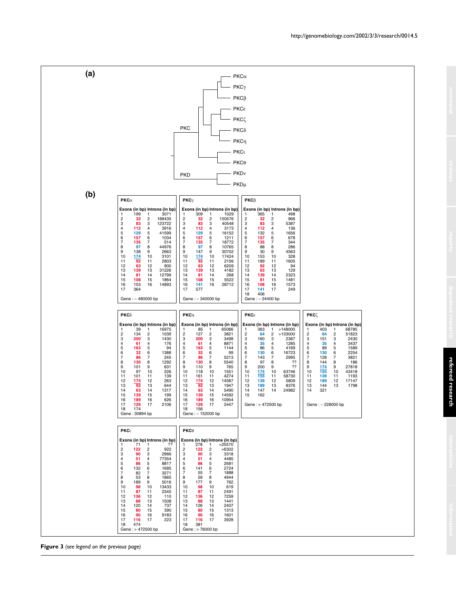



**Figure 3** *(see legend on the previous page)*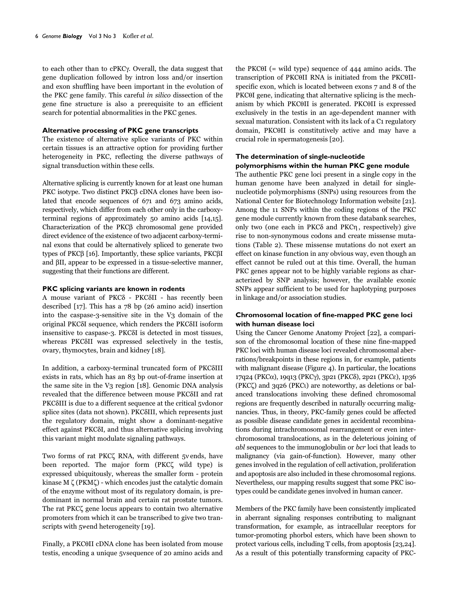to each other than to cPKCy. Overall, the data suggest that gene duplication followed by intron loss and/or insertion and exon shuffling have been important in the evolution of the PKC gene family. This careful in silico dissection of the gene fine structure is also a prerequisite to an efficient search for potential abnormalities in the PKC genes.

#### Alternative processing of PKC gene transcripts

The existence of alternative splice variants of PKC within certain tissues is an attractive option for providing further heterogeneity in PKC, reflecting the diverse pathways of signal transduction within these cells.

Alternative splicing is currently known for at least one human PKC isotype. Two distinct PKCB cDNA clones have been isolated that encode sequences of 671 and 673 amino acids, respectively, which differ from each other only in the carboxyterminal regions of approximately  $50$  amino acids  $[14,15]$ . Characterization of the PKCβ chromosomal gene provided direct evidence of the existence of two adjacent carboxy-terminal exons that could be alternatively spliced to generate two types of PKCβ [16]. Importantly, these splice variants, PKCβI and  $\beta$ II, appear to be expressed in a tissue-selective manner, suggesting that their functions are different.

#### PKC splicing variants are known in rodents

A mouse variant of PKC $\delta$  - PKC $\delta$ II - has recently been described  $\lceil 17 \rceil$ . This has a 78 bp (26 amino acid) insertion into the caspase-3-sensitive site in the V3 domain of the original PKCδI sequence, which renders the PKCδII isoform insensitive to caspase-3. PKCSI is detected in most tissues, whereas PKCSII was expressed selectively in the testis, ovary, thymocytes, brain and kidney [18].

In addition, a carboxy-terminal truncated form of PKC8III exists in rats, which has an 83 bp out-of-frame insertion at the same site in the V3 region [18]. Genomic DNA analysis revealed that the difference between mouse PKCSII and rat PKCSIII is due to a different sequence at the critical 5vdonor splice sites (data not shown). PKC $\delta$ III, which represents just the regulatory domain, might show a dominant-negative effect against PKCSI, and thus alternative splicing involving this variant might modulate signaling pathways.

Two forms of rat PKCζ RNA, with different 5v ends, have been reported. The major form (PKC $\zeta$  wild type) is expressed ubiquitously, whereas the smaller form - protein kinase  $M \zeta$  (PKM $\zeta$ ) - which encodes just the catalytic domain of the enzyme without most of its regulatory domain, is predominant in normal brain and certain rat prostate tumors. The rat PKC $\zeta$  gene locus appears to contain two alternative promoters from which it can be transcribed to give two transcripts with 5vend heterogeneity [19].

Finally, a PKC0II cDNA clone has been isolated from mouse testis, encoding a unique 5vsequence of 20 amino acids and the PKC $\theta$ I (= wild type) sequence of 444 amino acids. The transcription of PKC0II RNA is initiated from the PKC0IIspecific exon, which is located between exons 7 and 8 of the PKC0I gene, indicating that alternative splicing is the mechanism by which PKC0II is generated. PKC0II is expressed exclusively in the testis in an age-dependent manner with sexual maturation. Consistent with its lack of a C1 regulatory domain, PKC0II is constitutively active and may have a crucial role in spermatogenesis [20].

#### The determination of single-nucleotide polymorphisms within the human PKC gene module

The authentic PKC gene loci present in a single copy in the human genome have been analyzed in detail for singlenucleotide polymorphisms (SNPs) using resources from the National Center for Biotechnology Information website [21]. Among the 11 SNPs within the coding regions of the PKC gene module currently known from these databank searches, only two (one each in PKCδ and PKCη, respectively) give rise to non-synonymous codons and create missense mutations (Table 2). These missense mutations do not exert an effect on kinase function in any obvious way, even though an effect cannot be ruled out at this time. Overall, the human PKC genes appear not to be highly variable regions as characterized by SNP analysis; however, the available exonic SNPs appear sufficient to be used for haplotyping purposes in linkage and/or association studies.

## Chromosomal location of fine-mapped PKC gene loci with human disease loci

Using the Cancer Genome Anatomy Project [22], a comparison of the chromosomal location of these nine fine-mapped PKC loci with human disease loci revealed chromosomal aberrations/breakpoints in these regions in, for example, patients with malignant disease (Figure 4). In particular, the locations 17q24 (PKCα), 19q13 (PKCγ), 3p21 (PKCδ), 2p21 (PKCε), 1p36  $(PKC\zeta)$  and 3q26 (PKC) are noteworthy, as deletions or balanced translocations involving these defined chromosomal regions are frequently described in naturally occurring malignancies. Thus, in theory, PKC-family genes could be affected as possible disease candidate genes in accidental recombinations during intrachromosomal rearrangement or even interchromosomal translocations, as in the deleterious joining of *abl* sequences to the immunoglobulin or *bcr* loci that leads to malignancy (via gain-of-function). However, many other genes involved in the regulation of cell activation, proliferation and apoptosis are also included in these chromosomal regions. Nevertheless, our mapping results suggest that some PKC isotypes could be candidate genes involved in human cancer.

Members of the PKC family have been consistently implicated in aberrant signaling responses contributing to malignant transformation, for example, as intracellular receptors for tumor-promoting phorbol esters, which have been shown to protect various cells, including T cells, from apoptosis [23,24]. As a result of this potentially transforming capacity of PKC-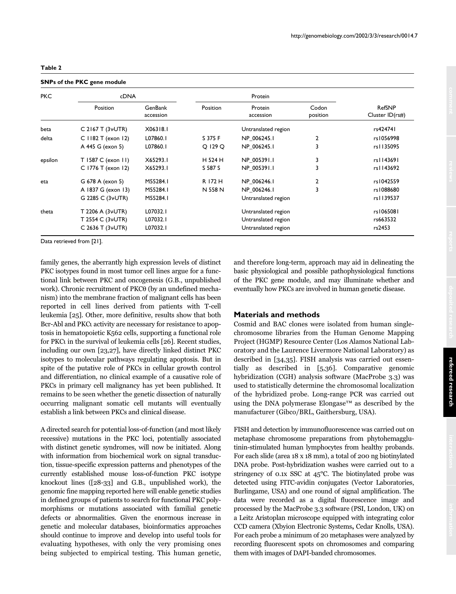|  |  |  |  |  |  |  |  | <b>SNPs of the PKC gene module</b> |
|--|--|--|--|--|--|--|--|------------------------------------|
|--|--|--|--|--|--|--|--|------------------------------------|

| <b>PKC</b> | <b>cDNA</b>                   |                      | Protein  |                      |                   |                           |  |
|------------|-------------------------------|----------------------|----------|----------------------|-------------------|---------------------------|--|
|            | Position                      | GenBank<br>accession | Position | Protein<br>accession | Codon<br>position | RefSNP<br>Cluster ID(rs#) |  |
| beta       | C 2167 T $(3\forall$ UTR)     | X06318.1             |          | Untranslated region  |                   |                           |  |
| delta      | C $1182$ T (exon 12)          | L07860.1             | S 375 F  | NP 006245.1          | 2                 | rs1056998                 |  |
|            | A 445 G (exon 5)              | L07860.1             | O 129 O  | NP 006245.1          | 3                 | rs1135095                 |  |
| epsilon    | T 1587 C (exon 11)            | X65293.1             | H 524 H  | NP 005391.1          | 3                 | rs1143691                 |  |
|            | C 1776 T (exon 12)            | X65293.1             | S 587 S  | NP 005391.1          | 3                 | rs   143692               |  |
| eta        | G 678 A (exon 5)              | M55284.1             | R 172 H  | NP 006246.1          | 2                 | rs1042559                 |  |
|            | A 1837 G (exon 13)            | M55284.1             | N 558 N  | NP 006246.1          | 3                 | rs1088680                 |  |
|            | G 2285 C (3 <sup>v</sup> UTR) | M55284.1             |          | Untranslated region  |                   | rs1139537                 |  |
| theta      | T 2206 A $(3\forall$ UTR)     | L07032.1             |          | Untranslated region  |                   | rs1065081                 |  |
|            | T 2554 C (3vUTR)              | L07032.1             |          | Untranslated region  |                   | rs663532                  |  |
|            | C 2636 T $(3\forall$ UTR)     | L07032.1             |          | Untranslated region  |                   | rs2453                    |  |

Data retrieved from [21].

family genes, the aberrantly high expression levels of distinct PKC isotypes found in most tumor cell lines argue for a functional link between PKC and oncogenesis (G.B., unpublished work). Chronic recruitment of PKC0 (by an undefined mechanism) into the membrane fraction of malignant cells has been reported in cell lines derived from patients with T-cell leukemia [25]. Other, more definitive, results show that both Bcr-Abl and PKC activity are necessary for resistance to apoptosis in hematopoietic K562 cells, supporting a functional role for PKCt in the survival of leukemia cells [26]. Recent studies, including our own [23,27], have directly linked distinct PKC isotypes to molecular pathways regulating apoptosis. But in spite of the putative role of PKCs in cellular growth control and differentiation, no clinical example of a causative role of PKCs in primary cell malignancy has yet been published. It remains to be seen whether the genetic dissection of naturally occurring malignant somatic cell mutants will eventually establish a link between PKCs and clinical disease.

A directed search for potential loss-of-function (and most likely recessive) mutations in the PKC loci, potentially associated with distinct genetic syndromes, will now be initiated. Along with information from biochemical work on signal transduction, tissue-specific expression patterns and phenotypes of the currently established mouse loss-of-function PKC isotype knockout lines  $(28-33)$  and G.B., unpublished work), the genomic fine mapping reported here will enable genetic studies in defined groups of patients to search for functional PKC polymorphisms or mutations associated with familial genetic defects or abnormalities. Given the enormous increase in genetic and molecular databases, bioinformatics approaches should continue to improve and develop into useful tools for evaluating hypotheses, with only the very promising ones being subjected to empirical testing. This human genetic,

and therefore long-term, approach may aid in delineating the basic physiological and possible pathophysiological functions of the PKC gene module, and may illuminate whether and eventually how PKCs are involved in human genetic disease.

# **Materials and methods**

Cosmid and BAC clones were isolated from human singlechromosome libraries from the Human Genome Mapping Project (HGMP) Resource Center (Los Alamos National Laboratory and the Laurence Livermore National Laboratory) as described in [34,35]. FISH analysis was carried out essentially as described in [5,36]. Comparative genomic hybridization (CGH) analysis software (MacProbe 3.3) was used to statistically determine the chromosomal localization of the hybridized probe. Long-range PCR was carried out using the DNA polymerase Elongase™ as described by the manufacturer (Gibco/BRL, Gaithersburg, USA).

FISH and detection by immunofluorescence was carried out on metaphase chromosome preparations from phytohemagglutinin-stimulated human lymphocytes from healthy probands. For each slide (area 18 x 18 mm), a total of 200 ng biotinylated DNA probe. Post-hybridization washes were carried out to a stringency of 0.1x SSC at 45°C. The biotinylated probe was detected using FITC-avidin conjugates (Vector Laboratories, Burlingame, USA) and one round of signal amplification. The data were recorded as a digital fluorescence image and processed by the MacProbe 3.3 software (PSI, London, UK) on a Leitz Aristoplan microscope equipped with integrating color CCD camera (Xbyion Electronic Systems, Cedar Knolls, USA). For each probe a minimum of 20 metaphases were analyzed by recording fluorescent spots on chromosomes and comparing them with images of DAPI-banded chromosomes.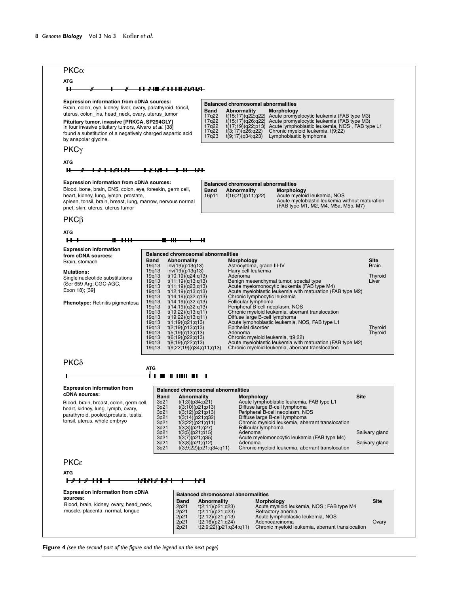

**Figure 4** *(see the second part of the figure and the legend on the next page)*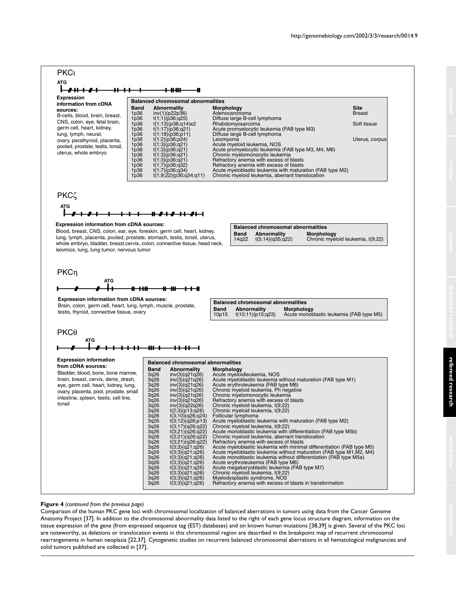

#### **Figure 4** *(continued from the previous page)*

Comparison of the human PKC gene loci with chromosomal localization of balanced aberrations in tumors using data from the Cancer Genome Anatomy Project [37]. In addition to the chromosomal abnormality data listed to the right of each gene locus structure diagram, information on the tissue expression of the gene (from expressed sequence tag (EST) databases) and on known human mutations [38,39] is given. Several of the PKC loci are noteworthy, as deletions or translocation events in this chromosomal region are described in the breakpoint map of recurrent chromosomal rearrangements in human neoplasia [22,37]. Cytogenetic studies on recurrent balanced chromosomal aberrations in all hematological malignancies and solid tumors published are collected in [37].